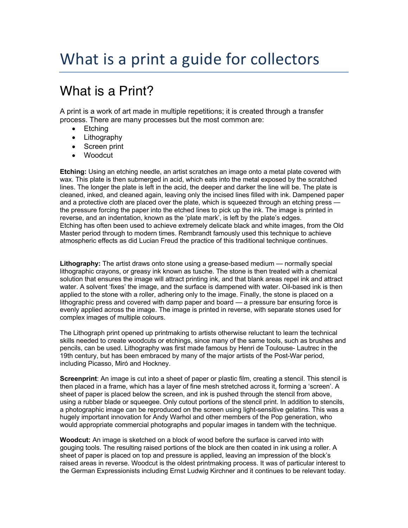# What is a print a guide for collectors

#### What is a Print?

A print is a work of art made in multiple repetitions; it is created through a transfer process. There are many processes but the most common are:

- Etching
- Lithography
- Screen print
- Woodcut

**Etching:** Using an etching needle, an artist scratches an image onto a metal plate covered with wax. This plate is then submerged in acid, which eats into the metal exposed by the scratched lines. The longer the plate is left in the acid, the deeper and darker the line will be. The plate is cleaned, inked, and cleaned again, leaving only the incised lines filled with ink. Dampened paper and a protective cloth are placed over the plate, which is squeezed through an etching press the pressure forcing the paper into the etched lines to pick up the ink. The image is printed in reverse, and an indentation, known as the 'plate mark', is left by the plate's edges. Etching has often been used to achieve extremely delicate black and white images, from the Old Master period through to modern times. Rembrandt famously used this technique to achieve atmospheric effects as did Lucian Freud the practice of this traditional technique continues.

**Lithography:** The artist draws onto stone using a grease-based medium — normally special lithographic crayons, or greasy ink known as tusche. The stone is then treated with a chemical solution that ensures the image will attract printing ink, and that blank areas repel ink and attract water. A solvent 'fixes' the image, and the surface is dampened with water. Oil-based ink is then applied to the stone with a roller, adhering only to the image. Finally, the stone is placed on a lithographic press and covered with damp paper and board — a pressure bar ensuring force is evenly applied across the image. The image is printed in reverse, with separate stones used for complex images of multiple colours.

The Lithograph print opened up printmaking to artists otherwise reluctant to learn the technical skills needed to create woodcuts or etchings, since many of the same tools, such as brushes and pencils, can be used. Lithography was first made famous by Henri de Toulouse- Lautrec in the 19th century, but has been embraced by many of the major artists of the Post-War period, including Picasso, Miró and Hockney.

**Screenprint**: An image is cut into a sheet of paper or plastic film, creating a stencil. This stencil is then placed in a frame, which has a layer of fine mesh stretched across it, forming a 'screen'. A sheet of paper is placed below the screen, and ink is pushed through the stencil from above, using a rubber blade or squeegee. Only cutout portions of the stencil print. In addition to stencils, a photographic image can be reproduced on the screen using light-sensitive gelatins. This was a hugely important innovation for Andy Warhol and other members of the Pop generation, who would appropriate commercial photographs and popular images in tandem with the technique.

**Woodcut:** An image is sketched on a block of wood before the surface is carved into with gouging tools. The resulting raised portions of the block are then coated in ink using a roller. A sheet of paper is placed on top and pressure is applied, leaving an impression of the block's raised areas in reverse. Woodcut is the oldest printmaking process. It was of particular interest to the German Expressionists including Ernst Ludwig Kirchner and it continues to be relevant today.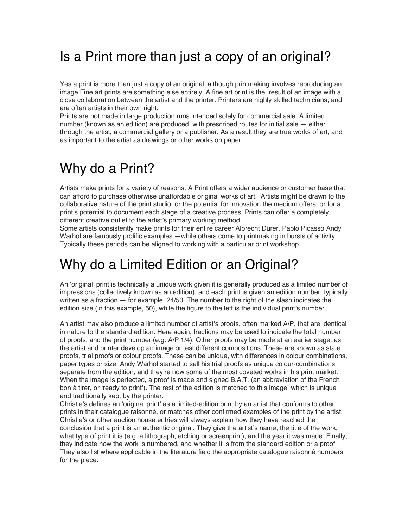### Is a Print more than just a copy of an original?

Yes a print is more than just a copy of an original, although printmaking involves reproducing an image Fine art prints are something else entirely. A fine art print is the result of an image with a close collaboration between the artist and the printer. Printers are highly skilled technicians, and are often artists in their own right.

Prints are not made in large production runs intended solely for commercial sale. A limited number (known as an edition) are produced, with prescribed routes for initial sale — either through the artist, a commercial gallery or a publisher. As a result they are true works of art, and as important to the artist as drawings or other works on paper.

#### Why do a Print?

Artists make prints for a variety of reasons. A Print offers a wider audience or customer base that can afford to purchase otherwise unaffordable original works of art. Artists might be drawn to the collaborative nature of the print studio, or the potential for innovation the medium offers, or for a print's potential to document each stage of a creative process. Prints can offer a completely different creative outlet to the artist's primary working method.

Some artists consistently make prints for their entire career Albrecht Dürer, Pablo Picasso Andy Warhol are famously prolific examples —while others come to printmaking in bursts of activity. Typically these periods can be aligned to working with a particular print workshop.

#### Why do a Limited Edition or an Original?

An 'original' print is technically a unique work given it is generally produced as a limited number of impressions (collectively known as an edition), and each print is given an edition number, typically written as a fraction — for example, 24/50. The number to the right of the slash indicates the edition size (in this example, 50), while the figure to the left is the individual print's number.

An artist may also produce a limited number of artist's proofs, often marked A/P, that are identical in nature to the standard edition. Here again, fractions may be used to indicate the total number of proofs, and the print number (e.g. A/P 1/4). Other proofs may be made at an earlier stage, as the artist and printer develop an image or test different compositions. These are known as state proofs, trial proofs or colour proofs. These can be unique, with differences in colour combinations, paper types or size. Andy Warhol started to sell his trial proofs as unique colour-combinations separate from the edition, and they're now some of the most coveted works in his print market. When the image is perfected, a proof is made and signed B.A.T. (an abbreviation of the French bon à tirer, or 'ready to print'). The rest of the edition is matched to this image, which is unique and traditionally kept by the printer.

Christie's defines an 'original print' as a limited-edition print by an artist that conforms to other prints in their catalogue raisonné, or matches other confirmed examples of the print by the artist. Christie's or other auction house entries will always explain how they have reached the conclusion that a print is an authentic original. They give the artist's name, the title of the work, what type of print it is (e.g. a lithograph, etching or screenprint), and the year it was made. Finally, they indicate how the work is numbered, and whether it is from the standard edition or a proof. They also list where applicable in the literature field the appropriate catalogue raisonné numbers for the piece.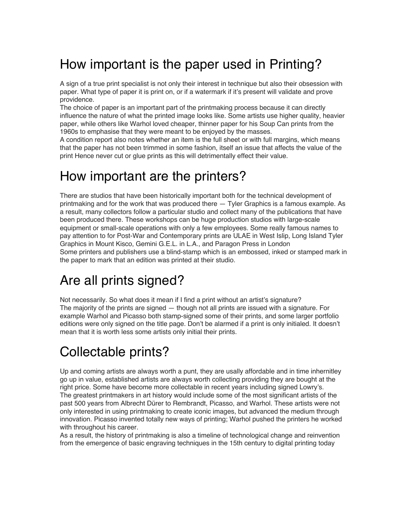# How important is the paper used in Printing?

A sign of a true print specialist is not only their interest in technique but also their obsession with paper. What type of paper it is print on, or if a watermark if it's present will validate and prove providence.

The choice of paper is an important part of the printmaking process because it can directly influence the nature of what the printed image looks like. Some artists use higher quality, heavier paper, while others like Warhol loved cheaper, thinner paper for his Soup Can prints from the 1960s to emphasise that they were meant to be enjoyed by the masses.

A condition report also notes whether an item is the full sheet or with full margins, which means that the paper has not been trimmed in some fashion, itself an issue that affects the value of the print Hence never cut or glue prints as this will detrimentally effect their value.

### How important are the printers?

There are studios that have been historically important both for the technical development of printmaking and for the work that was produced there — Tyler Graphics is a famous example. As a result, many collectors follow a particular studio and collect many of the publications that have been produced there. These workshops can be huge production studios with large-scale equipment or small-scale operations with only a few employees. Some really famous names to pay attention to for Post-War and Contemporary prints are ULAE in West Islip, Long Island Tyler Graphics in Mount Kisco, Gemini G.E.L. in L.A., and Paragon Press in London Some printers and publishers use a blind-stamp which is an embossed, inked or stamped mark in the paper to mark that an edition was printed at their studio.

# Are all prints signed?

Not necessarily. So what does it mean if I find a print without an artist's signature? The majority of the prints are signed — though not all prints are issued with a signature. For example Warhol and Picasso both stamp-signed some of their prints, and some larger portfolio editions were only signed on the title page. Don't be alarmed if a print is only initialed. It doesn't mean that it is worth less some artists only initial their prints.

# Collectable prints?

Up and coming artists are always worth a punt, they are usally affordable and in time inhernitley go up in value, established artists are always worth collecting providing they are bought at the right price. Some have become more collectable in recent years including signed Lowry's. The greatest printmakers in art history would include some of the most significant artists of the past 500 years from Albrecht Dürer to Rembrandt, Picasso, and Warhol. These artists were not only interested in using printmaking to create iconic images, but advanced the medium through innovation. Picasso invented totally new ways of printing; Warhol pushed the printers he worked with throughout his career.

As a result, the history of printmaking is also a timeline of technological change and reinvention from the emergence of basic engraving techniques in the 15th century to digital printing today